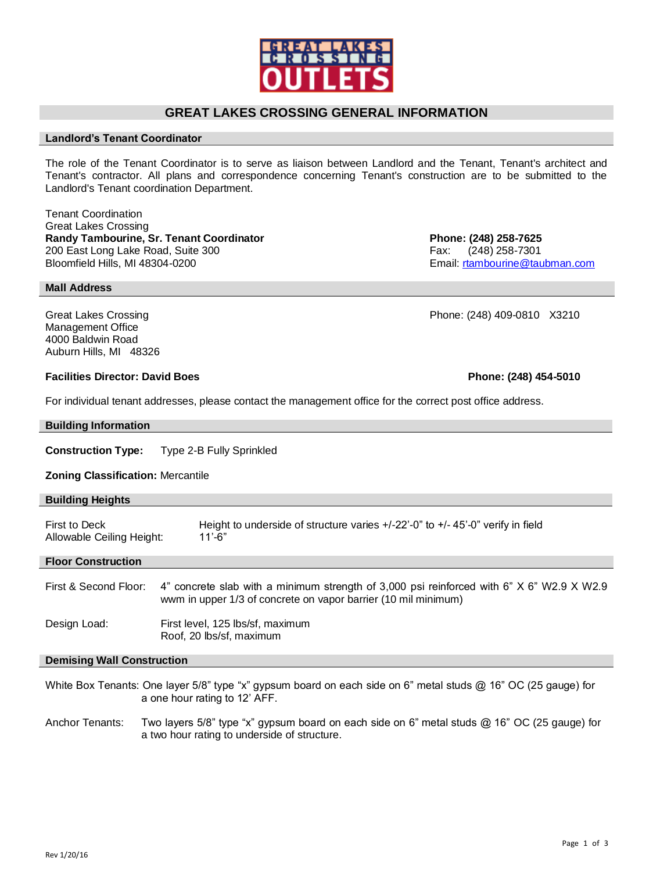# **GREAT LAKES CROSSING GENERAL INFORMATION**

# **Landlord's Tenant Coordinator**

The role of the Tenant Coordinator is to serve as liaison between Landlord and the Tenant, Tenant's architect and Tenant's contractor. All plans and correspondence concerning Tenant's construction are to be submitted to the Landlord's Tenant coordination Department.

Tenant Coordination Great Lakes Crossing **Randy Tambourine, Sr. Tenant Coordinator Phone: (248) 258-7625** 200 East Long Lake Road, Suite 300 Fax: (248) 258-7301 Bloomfield Hills, MI 48304-0200 **Email:** [rtambourine@taubman.com](mailto:rtambourine@taubman.com)

**Mall Address**

Great Lakes Crossing **Canadian Crossing** Phone: (248) 409-0810 X3210 Management Office 4000 Baldwin Road Auburn Hills, MI 48326

## **Facilities Director: David Boes Phone: (248) 454-5010**

For individual tenant addresses, please contact the management office for the correct post office address.

| <b>Building Information</b>                                                                                    |                                                                                                                                                             |  |  |
|----------------------------------------------------------------------------------------------------------------|-------------------------------------------------------------------------------------------------------------------------------------------------------------|--|--|
| <b>Construction Type:</b>                                                                                      | Type 2-B Fully Sprinkled                                                                                                                                    |  |  |
| <b>Zoning Classification: Mercantile</b>                                                                       |                                                                                                                                                             |  |  |
| <b>Building Heights</b>                                                                                        |                                                                                                                                                             |  |  |
| First to Deck<br>Allowable Ceiling Height:                                                                     | Height to underside of structure varies $+/-22-0$ " to $+/-45-0$ " verify in field<br>$11' - 6"$                                                            |  |  |
| <b>Floor Construction</b>                                                                                      |                                                                                                                                                             |  |  |
| First & Second Floor:                                                                                          | 4" concrete slab with a minimum strength of 3,000 psi reinforced with 6" X 6" W2.9 X W2.9<br>wwm in upper 1/3 of concrete on vapor barrier (10 mil minimum) |  |  |
| Design Load:                                                                                                   | First level, 125 lbs/sf, maximum<br>Roof, 20 lbs/sf, maximum                                                                                                |  |  |
| <b>Demising Wall Construction</b>                                                                              |                                                                                                                                                             |  |  |
| White Box Tenants: One layer 5/8" type "x" gypsum board on each side on 6" metal studs @ 16" OC (25 gauge) for |                                                                                                                                                             |  |  |

Anchor Tenants: Two layers 5/8" type "x" gypsum board on each side on 6" metal studs @ 16" OC (25 gauge) for a two hour rating to underside of structure.

a one hour rating to 12' AFF.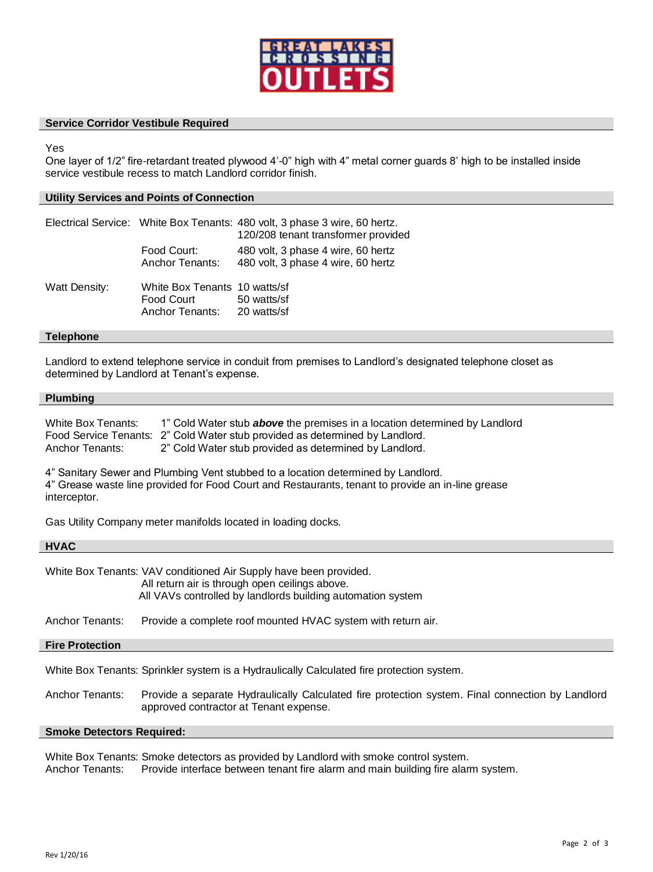

## **Service Corridor Vestibule Required**

Yes

One layer of 1/2" fire-retardant treated plywood 4'-0" high with 4" metal corner guards 8' high to be installed inside service vestibule recess to match Landlord corridor finish.

### **Utility Services and Points of Connection**

|                      |                                                                            | Electrical Service: White Box Tenants: 480 volt, 3 phase 3 wire, 60 hertz.<br>120/208 tenant transformer provided |
|----------------------|----------------------------------------------------------------------------|-------------------------------------------------------------------------------------------------------------------|
|                      | Food Court:<br><b>Anchor Tenants:</b>                                      | 480 volt, 3 phase 4 wire, 60 hertz<br>480 volt, 3 phase 4 wire, 60 hertz                                          |
| <b>Watt Density:</b> | White Box Tenants 10 watts/sf<br>Food Court<br>Anchor Tenants: 20 watts/sf | 50 watts/sf                                                                                                       |

#### **Telephone**

Landlord to extend telephone service in conduit from premises to Landlord's designated telephone closet as determined by Landlord at Tenant's expense.

#### **Plumbing**

| White Box Tenants: | 1" Cold Water stub <b>above</b> the premises in a location determined by Landlord |
|--------------------|-----------------------------------------------------------------------------------|
|                    | Food Service Tenants: 2" Cold Water stub provided as determined by Landlord.      |
| Anchor Tenants:    | 2" Cold Water stub provided as determined by Landlord.                            |

4" Sanitary Sewer and Plumbing Vent stubbed to a location determined by Landlord.

4" Grease waste line provided for Food Court and Restaurants, tenant to provide an in-line grease interceptor.

Gas Utility Company meter manifolds located in loading docks.

## **HVAC**

White Box Tenants: VAV conditioned Air Supply have been provided. All return air is through open ceilings above. All VAVs controlled by landlords building automation system

Anchor Tenants: Provide a complete roof mounted HVAC system with return air.

#### **Fire Protection**

White Box Tenants: Sprinkler system is a Hydraulically Calculated fire protection system.

Anchor Tenants: Provide a separate Hydraulically Calculated fire protection system. Final connection by Landlord approved contractor at Tenant expense.

#### **Smoke Detectors Required:**

White Box Tenants: Smoke detectors as provided by Landlord with smoke control system.

Anchor Tenants: Provide interface between tenant fire alarm and main building fire alarm system.